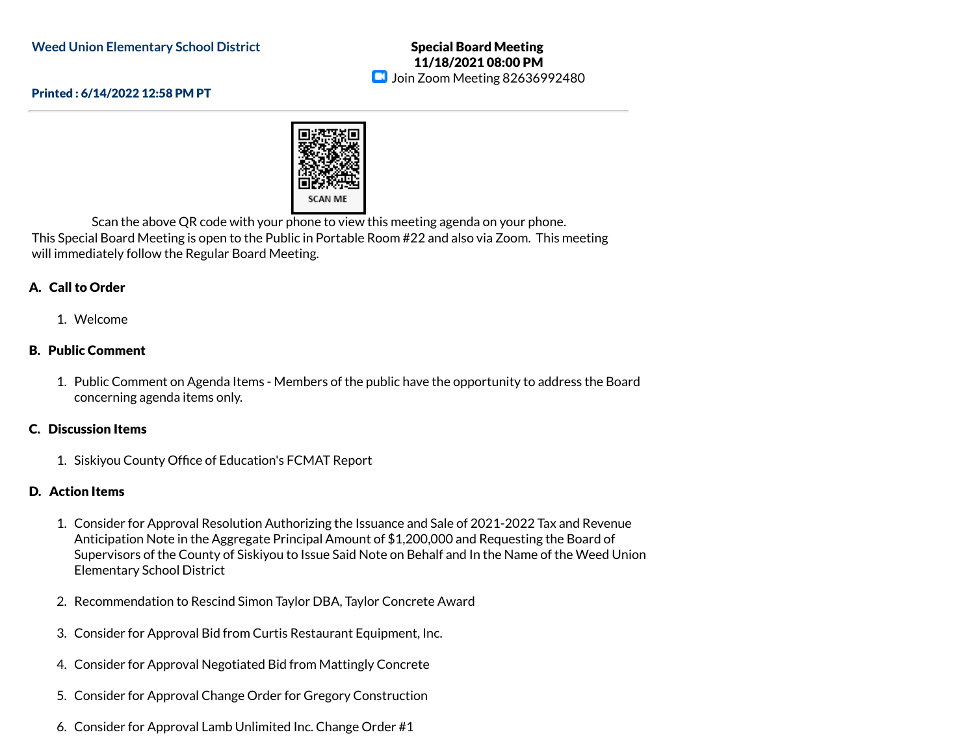### Special Board Meeting 11/18/2021 08:00 PM **D** Join Zoom Meeting 82636992480

#### Printed : 6/14/2022 12:58 PM PT



Scan the above QR code with your phone to view this meeting agenda on your phone. This Special Board Meeting is open to the Public in Portable Room #22 and also via Zoom. This meeting will immediately follow the Regular Board Meeting.

# A. Call to Order

### 1. Welcome

# B. Public Comment

1. Public Comment on Agenda Items - Members of the public have the opportunity to address the Board concerning agenda items only.

#### C. Discussion Items

1. Siskiyou County Office of Education's FCMAT Report

# D. Action Items

- 1. Consider for Approval Resolution Authorizing the Issuance and Sale of 2021-2022 Tax and Revenue Anticipation Note in the Aggregate Principal Amount of \$1,200,000 and Requesting the Board of Supervisors of the County of Siskiyou to Issue Said Note on Behalf and In the Name of the Weed Union Elementary School District
- 2. Recommendation to Rescind Simon Taylor DBA, Taylor Concrete Award
- 3. Consider for Approval Bid from Curtis Restaurant Equipment, Inc.
- 4. Consider for Approval Negotiated Bid from Mattingly Concrete
- 5. Consider for Approval Change Order for Gregory Construction
- 6. Consider for Approval Lamb Unlimited Inc. Change Order #1